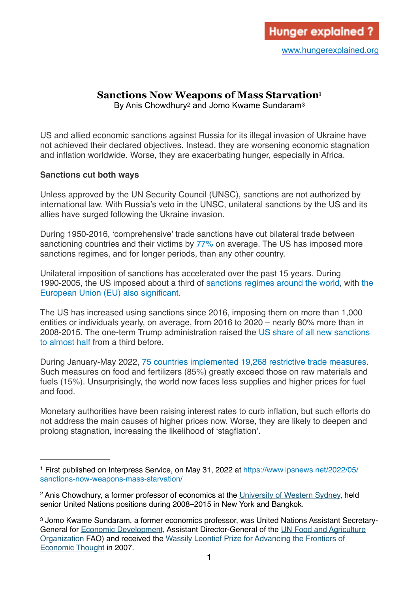# **Sanctions Now Weapons of Mass Starvation[1](#page-0-0)**

<span id="page-0-5"></span><span id="page-0-4"></span><span id="page-0-3"></span>By Anis Chowdhury<sup>2</sup> and Jomo Kwame Sundaram<sup>[3](#page-0-2)</sup>

US and allied economic sanctions against Russia for its illegal invasion of Ukraine have not achieved their declared objectives. Instead, they are worsening economic stagnation and inflation worldwide. Worse, they are exacerbating hunger, especially in Africa.

## **Sanctions cut both ways**

Unless approved by the UN Security Council (UNSC), sanctions are not authorized by international law. With Russia's veto in the UNSC, unilateral sanctions by the US and its allies have surged following the Ukraine invasion.

During 1950-2016, 'comprehensive' trade sanctions have cut bilateral trade between sanctioning countries and their victims by [77%](https://ideas.repec.org/p/ris/drxlwp/2021_007.html) on average. The US has imposed more sanctions regimes, and for longer periods, than any other country.

Unilateral imposition of sanctions has accelerated over the past 15 years. During 1990-2005, the US imposed about a third of [sanctions regimes around the world](https://www.aspistrategist.org.au/wp-content/themes/aspi/print-noimages.php?pid=71728), with [the](https://www.unicef.org/globalinsight/reports/sanctions-and-their-impact-children)  [European Union \(EU\) also significant](https://www.unicef.org/globalinsight/reports/sanctions-and-their-impact-children).

The US has increased using sanctions since 2016, imposing them on more than 1,000 entities or individuals yearly, on average, from 2016 to 2020 – nearly 80% more than in 2008-2015. The one-term Trump administration raised the [US share of all new sanctions](https://www.aspistrategist.org.au/history-shows-the-wests-sanctions-on-russia-could-backfire/)  [to almost half](https://www.aspistrategist.org.au/history-shows-the-wests-sanctions-on-russia-could-backfire/) from a third before.

During January-May 2022, [75 countries implemented 19,268 restrictive trade measures](https://www.worldbank.org/en/topic/agriculture/brief/food-security-update?cid=ECR_GA_worldbank_EN_EXTP_search&gclid=CjwKCAjwyryUBhB%E2%80%A6). Such measures on food and fertilizers (85%) greatly exceed those on raw materials and fuels (15%). Unsurprisingly, the world now faces less supplies and higher prices for fuel and food.

Monetary authorities have been raising interest rates to curb inflation, but such efforts do not address the main causes of higher prices now. Worse, they are likely to deepen and prolong stagnation, increasing the likelihood of 'stagflation'.

<span id="page-0-0"></span><sup>&</sup>lt;sup>1</sup> First published on Interpress Service, on May 31, 2022 at [https://www.ipsnews.net/2022/05/](https://www.ipsnews.net/2022/05/sanctions-now-weapons-mass-starvation/) [sanctions-now-weapons-mass-starvation/](https://www.ipsnews.net/2022/05/sanctions-now-weapons-mass-starvation/)

<span id="page-0-1"></span><sup>&</sup>lt;sup>2</sup> Anis Chowdhury, a former professor of economics at the [University of Western Sydney,](https://www.westernsydney.edu.au) held senior United Nations positions during 2008–2015 in New York and Bangkok.

<span id="page-0-2"></span><sup>&</sup>lt;sup>[3](#page-0-5)</sup> Jomo Kwame Sundaram, a former economics professor, was United Nations Assistant Secretary-General for [Economic Development](https://www.un.org/development/desa/en/), Assistant Director-General of the [UN Food and Agriculture](http://www.fao.org/economic/es-home/en/#.WHg8OrHpPEY)  [Organization](http://www.fao.org/economic/es-home/en/#.WHg8OrHpPEY) FAO) and received the [Wassily Leontief Prize for Advancing the Frontiers of](http://www.ase.tufts.edu/gdae/about_us/leontief.html)  [Economic Thought](http://www.ase.tufts.edu/gdae/about_us/leontief.html) in 2007.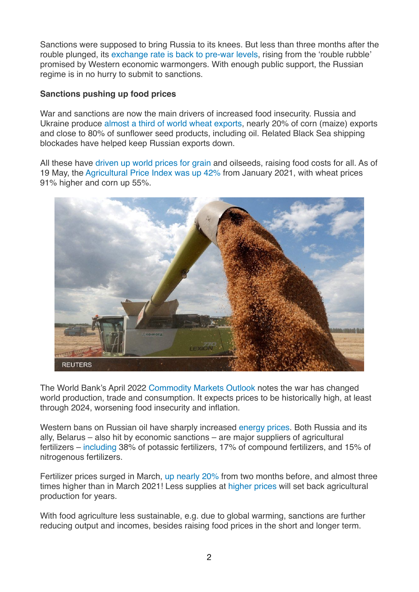Sanctions were supposed to bring Russia to its knees. But less than three months after the rouble plunged, its [exchange rate is back to pre-war levels](https://abcnews.go.com/Business/wireStory/russias-ruble-rebound-raises-questions-sanctions-impact-83768547), rising from the 'rouble rubble' promised by Western economic warmongers. With enough public support, the Russian regime is in no hurry to submit to sanctions.

## **Sanctions pushing up food prices**

War and sanctions are now the main drivers of increased food insecurity. Russia and Ukraine produce [almost a third of world wheat exports,](https://think.ing.com/articles/russia-ukraine-conflict-what-it-means-for-grain-markets) nearly 20% of corn (maize) exports and close to 80% of sunflower seed products, including oil. Related Black Sea shipping blockades have helped keep Russian exports down.

All these have [driven up world prices for grain](https://www.nytimes.com/2022/02/24/business/ukraine-russia-wheat-prices.html) and oilseeds, raising food costs for all. As of 19 May, the [Agricultural Price Index was up 42%](https://www.worldbank.org/en/topic/agriculture/brief/food-security-update?cid=ECR_GA_worldbank_EN_EXTP_search&gclid=CjwKCAjwyryUBhB%E2%80%A6) from January 2021, with wheat prices 91% higher and corn up 55%.



The World Bank's April 2022 [Commodity Markets Outlook](https://openknowledge.worldbank.org/bitstream/handle/10986/37223/CMO-April-2022.pdf) notes the war has changed world production, trade and consumption. It expects prices to be historically high, at least through 2024, worsening food insecurity and inflation.

Western bans on Russian oil have sharply increased [energy prices](https://www.nature.com/articles/d41586-022-00969-9). Both Russia and its ally, Belarus – also hit by economic sanctions – are major suppliers of agricultural fertilizers – [including](https://www.worldbank.org/en/topic/agriculture/brief/food-security-update?cid=ECR_GA_worldbank_EN_EXTP_search&gclid=CjwKCAjwyryUBhB%E2%80%A6) 38% of potassic fertilizers, 17% of compound fertilizers, and 15% of nitrogenous fertilizers.

Fertilizer prices surged in March, [up nearly 20%](https://www.worldbank.org/en/topic/agriculture/brief/food-security-update?cid=ECR_GA_worldbank_EN_EXTP_search&gclid=CjwKCAjwyryUBhB%E2%80%A6) from two months before, and almost three times higher than in March 2021! Less supplies at [higher prices](https://fews.net/sites/default/files/documents/reports/FEWS%20NET_Ukraine_Targeted_Analysis_Final.pdf) will set back agricultural production for years.

With food agriculture less sustainable, e.g. due to global warming, sanctions are further reducing output and incomes, besides raising food prices in the short and longer term.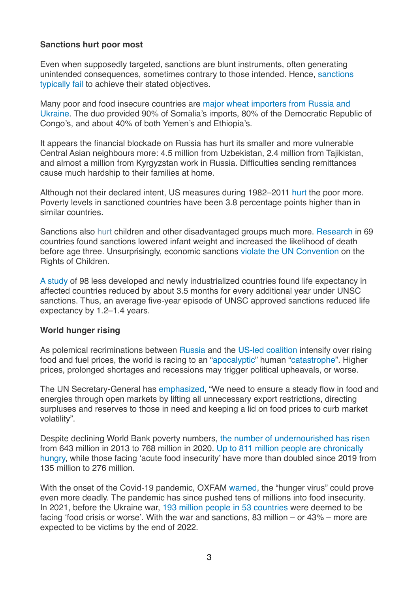## **Sanctions hurt poor most**

Even when supposedly targeted, sanctions are blunt instruments, often generating unintended consequences, sometimes contrary to those intended. Hence, [sanctions](https://www.newyorker.com/news/daily-comment/why-sanctions-too-often-fail)  [typically fail](https://www.newyorker.com/news/daily-comment/why-sanctions-too-often-fail) to achieve their stated objectives.

Many poor and food insecure countries are [major wheat importers from Russia and](https://fscluster.org/document/fao-presentation)  [Ukraine](https://fscluster.org/document/fao-presentation). The duo provided 90% of Somalia's imports, 80% of the Democratic Republic of Congo's, and about 40% of both Yemen's and Ethiopia's.

It appears the financial blockade on Russia has hurt its smaller and more vulnerable Central Asian neighbours more: 4.5 million from Uzbekistan, 2.4 million from Tajikistan, and almost a million from Kyrgyzstan work in Russia. Difficulties sending remittances cause much hardship to their families at home.

Although not their declared intent, US measures during 1982–2011 [hurt](https://www.sciencedirect.com/science/article/pii/S0304387816300177?via%3Dihub) the poor more. Poverty levels in sanctioned countries have been 3.8 percentage points higher than in similar countries.

Sanctions also [hurt](https://onlinelibrary.wiley.com/doi/10.1002/hpm.2727) children and other disadvantaged groups much more. [Research](http://conference.nber.org/confer/2010/SI2010/PENS/Petrescu.pdf) in 69 countries found sanctions lowered infant weight and increased the likelihood of death before age three. Unsurprisingly, economic sanctions [violate the UN Convention](https://bmjpaedsopen.bmj.com/content/bmjpo/5/1/e001350.full.pdf) on the Rights of Children.

[A study](https://www.uni-trier.de/fileadmin/fb4/prof/VWL/EWF/Research_Papers/2017-06.pdf) of 98 less developed and newly industrialized countries found life expectancy in affected countries reduced by about 3.5 months for every additional year under UNSC sanctions. Thus, an average five-year episode of UNSC approved sanctions reduced life expectancy by 1.2–1.4 years.

#### **World hunger rising**

As polemical recriminations between [Russia](https://apnews.com/article/russia-ukraine-government-and-politics-blockades-d1c7c23939c7942e7bd4358444114e1e) and the [US-led coalition](https://www.theguardian.com/world/2022/may/20/us-accuses-russia-of-weaponising-food-in-ukraine-crisis-and-holding-global-supplies-hostage) intensify over rising food and fuel prices, the world is racing to an ["apocalyptic](https://www.bbc.com/news/business-61469532)" human "[catastrophe](https://www.bbc.com/news/business-61171529)". Higher prices, prolonged shortages and recessions may trigger political upheavals, or worse.

The UN Secretary-General has [emphasized](https://www.reuters.com/world/europe/worsening-global-food-security-needs-ukraine-russia-production-un-chief-says-2022-05-04/), "We need to ensure a steady flow in food and energies through open markets by lifting all unnecessary export restrictions, directing surpluses and reserves to those in need and keeping a lid on food prices to curb market volatility".

Despite declining World Bank poverty numbers, [the number of undernourished has risen](https://docs.wfp.org/api/documents/WFP-0000130141/download/?_ga=2.111933760.535537602.1653607892-1629086397.1653607892) from 643 million in 2013 to 768 million in 2020. [Up to 811 million people are chronically](https://www.wfp.org/hunger-catastrophe)  [hungry,](https://www.wfp.org/hunger-catastrophe) while those facing 'acute food insecurity' have more than doubled since 2019 from 135 million to 276 million.

With the onset of the Covid-19 pandemic, OXFAM [warned](https://www.oxfam.org/en/world-midst-hunger-pandemic-conflict-coronavirus-and-climate-crisis-threaten-push-millions), the "hunger virus" could prove even more deadly. The pandemic has since pushed tens of millions into food insecurity. In 2021, before the Ukraine war, [193 million people in 53 countries](https://www.fsinplatform.org/sites/default/files/resources/files/GRFC%202022%20Final%20Report.pdf) were deemed to be facing 'food crisis or worse'. With the war and sanctions, 83 million – or 43% – more are expected to be victims by the end of 2022.